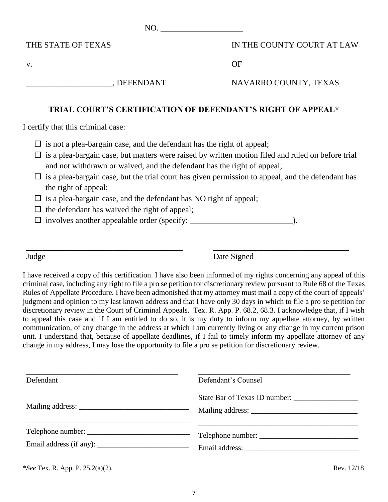$NO.$ 

THE STATE OF TEXAS

v.

IN THE COUNTY COURT AT LAW

OF

\_\_\_\_\_\_\_\_\_\_\_\_\_\_\_\_\_\_\_\_\_, DEFENDANT

NAVARRO COUNTY, TEXAS

## **TRIAL COURT'S CERTIFICATION OF DEFENDANT'S RIGHT OF APPEAL\***

I certify that this criminal case:

- $\Box$  is not a plea-bargain case, and the defendant has the right of appeal;
- $\Box$  is a plea-bargain case, but matters were raised by written motion filed and ruled on before trial and not withdrawn or waived, and the defendant has the right of appeal;
- $\Box$  is a plea-bargain case, but the trial court has given permission to appeal, and the defendant has the right of appeal;
- $\Box$  is a plea-bargain case, and the defendant has NO right of appeal;
- $\Box$  the defendant has waived the right of appeal;

\_\_\_\_\_\_\_\_\_\_\_\_\_\_\_\_\_\_\_\_\_\_\_\_\_\_\_\_\_\_\_\_\_\_\_\_\_\_

 $\Box$  involves another appealable order (specify: \_\_\_\_\_\_\_\_\_\_\_\_\_\_\_\_\_\_\_\_\_\_\_\_\_\_\_\_\_\_\_.).

Judge

Date Signed

\_\_\_\_\_\_\_\_\_\_\_\_\_\_\_\_\_\_\_\_\_\_\_\_\_\_\_\_\_\_\_\_\_

I have received a copy of this certification. I have also been informed of my rights concerning any appeal of this criminal case, including any right to file a pro se petition for discretionary review pursuant to Rule 68 of the Texas Rules of Appellate Procedure. I have been admonished that my attorney must mail a copy of the court of appeals' judgment and opinion to my last known address and that I have only 30 days in which to file a pro se petition for discretionary review in the Court of Criminal Appeals. Tex. R. App. P. 68.2, 68.3. I acknowledge that, if I wish to appeal this case and if I am entitled to do so, it is my duty to inform my appellate attorney, by written communication, of any change in the address at which I am currently living or any change in my current prison unit. I understand that, because of appellate deadlines, if I fail to timely inform my appellate attorney of any change in my address, I may lose the opportunity to file a pro se petition for discretionary review.

| Defendant         | Defendant's Counsel |
|-------------------|---------------------|
|                   |                     |
| Telephone number: |                     |

\**See* Tex. R. App. P. 25.2(a)(2). Rev. 12/18